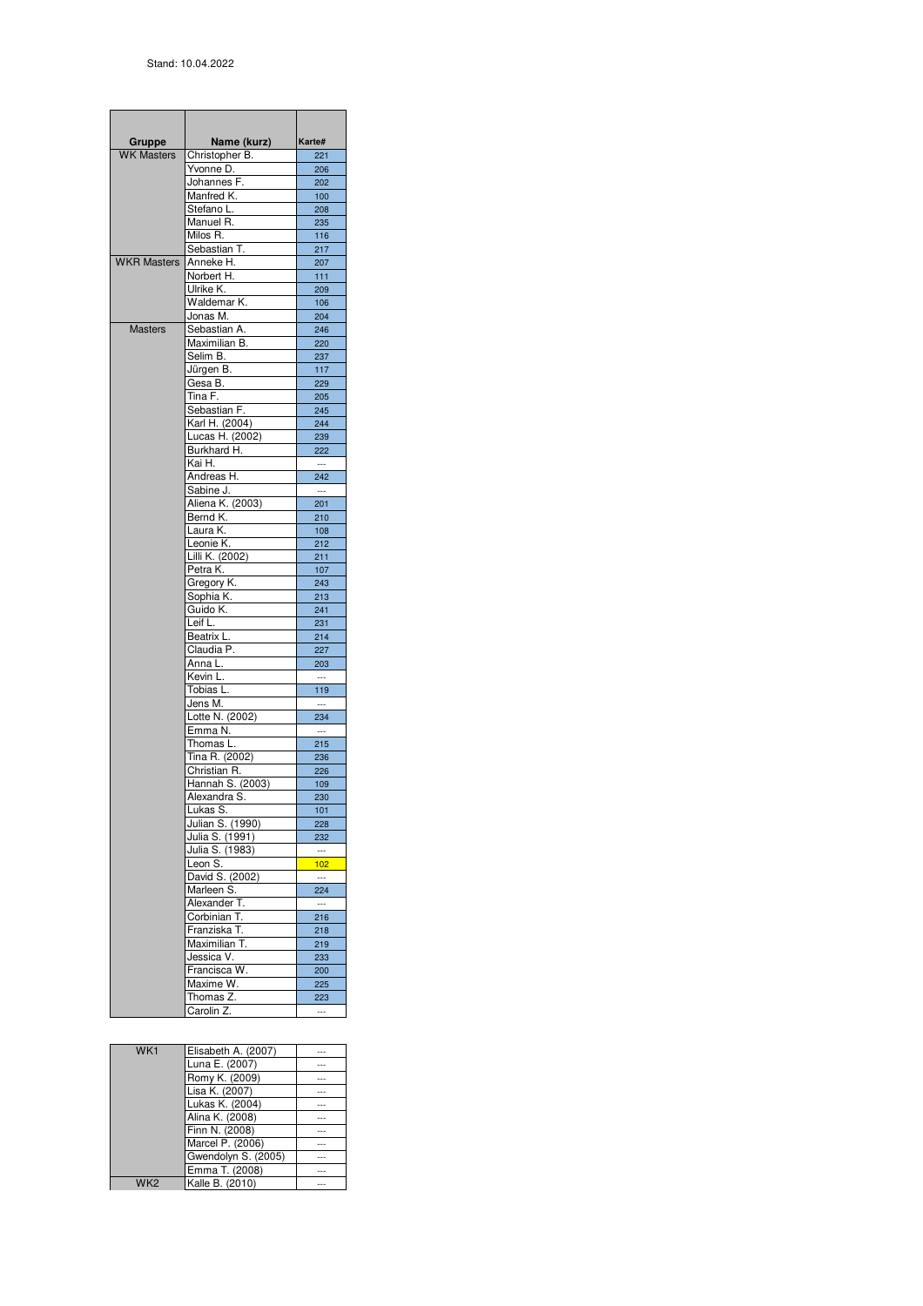| Gruppe             | Name (kurz)                    | Karte#                          |
|--------------------|--------------------------------|---------------------------------|
| <b>WK Masters</b>  | Christopher B.                 | 221                             |
|                    | Yvonne D.                      | 206                             |
|                    | Johannes F.                    | 202                             |
|                    | Manfred K.                     | 100                             |
|                    | Stefano L.<br>Manuel R.        | 208                             |
|                    | Milos R.                       | 235<br>116                      |
|                    | Sebastian T.                   | 217                             |
| <b>WKR Masters</b> | Anneke H.                      | 207                             |
|                    | Norbert H.                     | 111                             |
|                    | Ulrike K.                      | 209                             |
|                    | Waldemar K.                    | 106                             |
|                    | Jonas M.                       | 204                             |
| <b>Masters</b>     | Sebastian A.                   | 246                             |
|                    | Maximilian B.                  | 220                             |
|                    | Selim B.                       | 237                             |
|                    | Jürgen B.<br>Gesa B.           | 117                             |
|                    | Tina F.                        | 229<br>205                      |
|                    | Sebastian F.                   | 245                             |
|                    | Karl H. (2004)                 | 244                             |
|                    | Lucas H. (2002)                | 239                             |
|                    | Burkhard H.                    | 222                             |
|                    | Kai H.                         | $\sim$ $\sim$                   |
|                    | Andreas H.                     | 242                             |
|                    | Sabine J.                      | $\ldots$                        |
|                    | Aliena K. (2003)               | 201                             |
|                    | Bernd K.                       | 210                             |
|                    | Laura K.                       | 108                             |
|                    | Leonie K.<br>Lilli K. (2002)   | 212                             |
|                    | $\overline{\mathsf{Petra}}$ K. | 211<br>107                      |
|                    | Gregory K.                     | 243                             |
|                    | Sophia K.                      | 213                             |
|                    | Guido K.                       | 241                             |
|                    | Leif L.                        | 231                             |
|                    | Beatrix L.                     | 214                             |
|                    | Claudia P.                     | 227                             |
|                    | Anna L.                        | 203                             |
|                    | Kevin L.                       | $\sim$                          |
|                    | Tobias L.                      | 119                             |
|                    | Jens M.                        | $\sim$<br>234                   |
|                    | Lotte N. (2002)<br>Emma N.     | $\sim$                          |
|                    | Thomas L.                      | 215                             |
|                    | Tina R. (2002)                 | 236                             |
|                    | Christian R.                   | 226                             |
|                    | Hannah S. (2003)               | 109                             |
|                    | Alexandra S.                   | 230                             |
|                    | Lukas S.                       | 101                             |
|                    | Julian S. (1990)               | 228                             |
|                    | Julia S. (1991)                | 232                             |
|                    | Julia S. (1983)                | $\cdots$                        |
|                    | Leon S.                        | 102<br>$\overline{\phantom{a}}$ |
|                    | David S. (2002)<br>Marleen S.  | 224                             |
|                    | Alexander T.                   | $\sim$                          |
|                    | Corbinian T.                   | 216                             |
|                    | Franziska T.                   | 218                             |
|                    | Maximilian T.                  | 219                             |
|                    | Jessica V.                     | 233                             |
|                    | Francisca W.                   | 200                             |
|                    | Maxime W.                      | 225                             |
|                    | Thomas Z.                      | 223                             |
|                    | Carolin Z.                     |                                 |

| WK1             | Elisabeth A. (2007) | --- |
|-----------------|---------------------|-----|
|                 | Luna E. (2007)      |     |
|                 | Romy K. (2009)      | --- |
|                 | Lisa K. (2007)      | --- |
|                 | Lukas K. (2004)     | --- |
|                 | Alina K. (2008)     |     |
|                 | Finn N. (2008)      | --- |
|                 | Marcel P. (2006)    | --- |
|                 | Gwendolyn S. (2005) | --- |
|                 | Emma T. (2008)      | --- |
| WK <sub>2</sub> | Kalle B. (2010)     |     |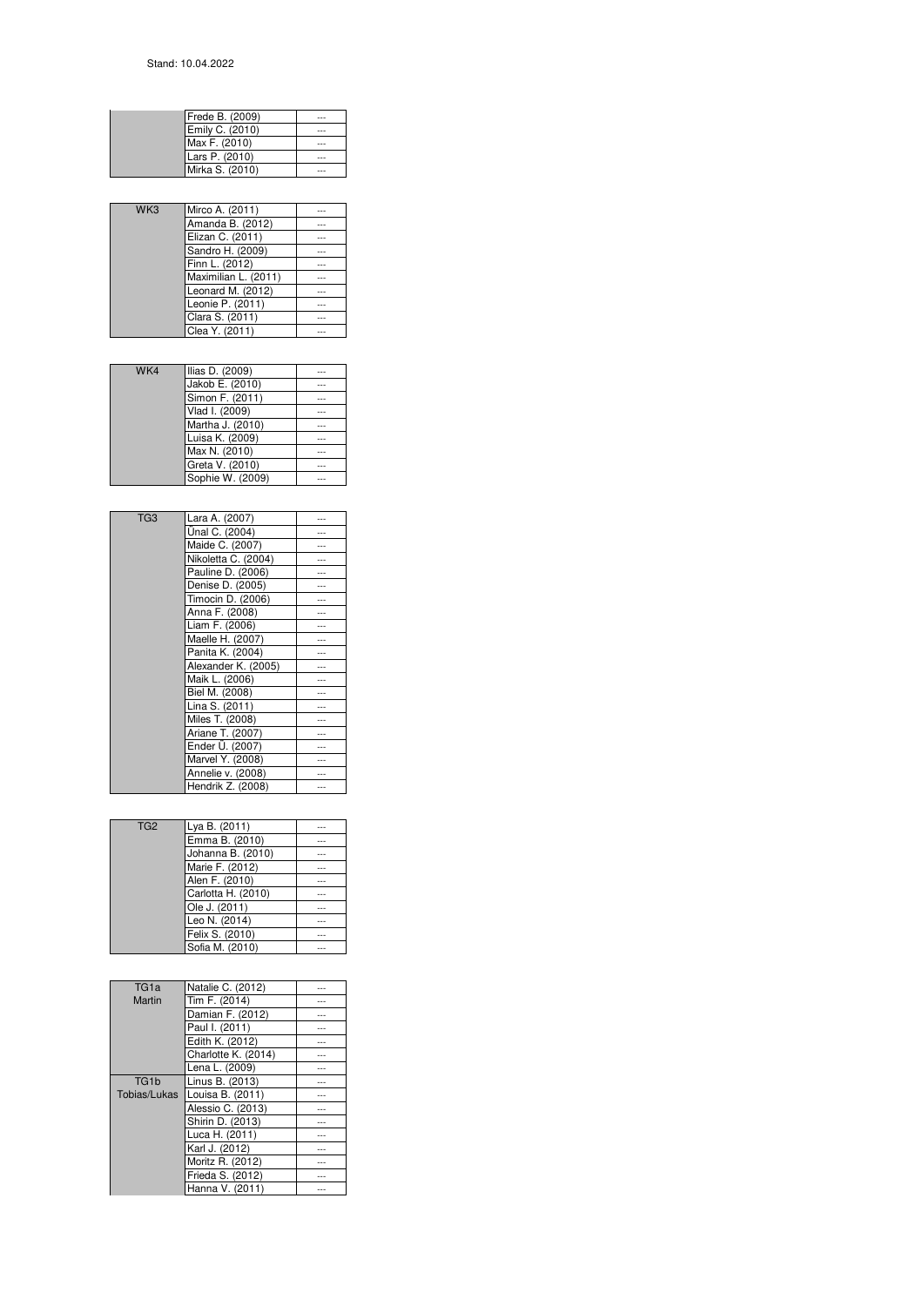| Frede B. (2009) |  |
|-----------------|--|
| Emily C. (2010) |  |
| Max F. (2010)   |  |
| Lars P. (2010)  |  |
| Mirka S. (2010) |  |

| WK3 | Mirco A. (2011)      | --- |
|-----|----------------------|-----|
|     | Amanda B. (2012)     |     |
|     | Elizan C. (2011)     |     |
|     | Sandro H. (2009)     |     |
|     | Finn L. (2012)       | --- |
|     | Maximilian L. (2011) | --- |
|     | Leonard M. (2012)    |     |
|     | Leonie P. (2011)     | --- |
|     | Clara S. (2011)      | --- |
|     | Clea Y. (2011)       | --- |
|     |                      |     |

| WK4 | Ilias D. (2009)  |     |
|-----|------------------|-----|
|     | Jakob E. (2010)  |     |
|     | Simon F. (2011)  |     |
|     | Vlad I. (2009)   |     |
|     | Martha J. (2010) | --- |
|     | Luisa K. (2009)  | --- |
|     | Max N. (2010)    | --- |
|     | Greta V. (2010)  | --- |
|     | Sophie W. (2009) |     |

| TG <sub>3</sub> | Lara A. (2007)      |     |
|-----------------|---------------------|-----|
|                 | Ünal C. (2004)      |     |
|                 | Maide C. (2007)     |     |
|                 | Nikoletta C. (2004) |     |
|                 | Pauline D. (2006)   |     |
|                 | Denise D. (2005)    |     |
|                 | Timocin D. (2006)   |     |
|                 | Anna F. (2008)      |     |
|                 | Liam F. (2006)      |     |
|                 | Maelle H. (2007)    |     |
|                 | Panita K. (2004)    |     |
|                 | Alexander K. (2005) |     |
|                 | Maik L. (2006)      |     |
|                 | Biel M. (2008)      |     |
|                 | Lina S. (2011)      | --- |
|                 | Miles T. (2008)     |     |
|                 | Ariane T. (2007)    |     |
|                 | Ender Ü. (2007)     |     |
|                 | Marvel Y. (2008)    |     |
|                 | Annelie v. (2008)   |     |
|                 | Hendrik Z. (2008)   |     |

| TG <sub>2</sub> | Lya B. (2011)      | --- |
|-----------------|--------------------|-----|
|                 | Emma B. (2010)     |     |
|                 | Johanna B. (2010)  | --- |
|                 | Marie F. (2012)    | --- |
|                 | Alen F. (2010)     | --- |
|                 | Carlotta H. (2010) | --- |
|                 | Ole J. (2011)      |     |
|                 | Leo N. (2014)      | --- |
|                 | Felix S. (2010)    | --- |
|                 | Sofia M. (2010)    | --- |

| TG <sub>1a</sub>  | Natalie C. (2012)   |     |
|-------------------|---------------------|-----|
| Martin            | Tim F. (2014)       | --- |
|                   | Damian F. (2012)    |     |
|                   | Paul I. (2011)      |     |
|                   | Edith K. (2012)     | --- |
|                   | Charlotte K. (2014) |     |
|                   | Lena L. (2009)      |     |
| TG <sub>1</sub> b | Linus B. (2013)     | --- |
| Tobias/Lukas      | Louisa B. (2011)    |     |
|                   | Alessio C. (2013)   |     |
|                   | Shirin D. (2013)    | --- |
|                   | Luca H. (2011)      |     |
|                   | Karl J. (2012)      |     |
|                   | Moritz R. (2012)    | --- |
|                   | Frieda S. (2012)    |     |
|                   | Hanna V. (2011)     |     |